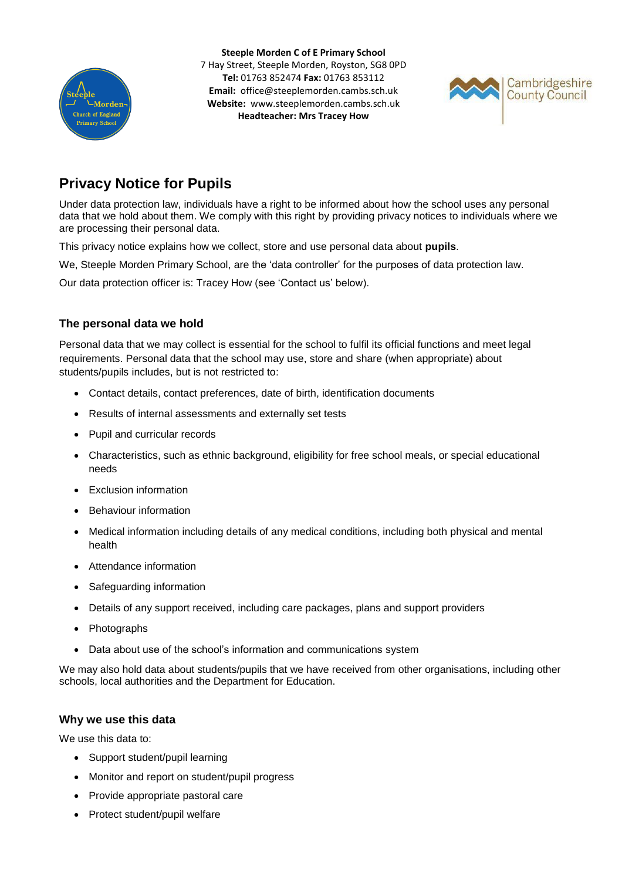

**Steeple Morden C of E Primary School** 7 Hay Street, Steeple Morden, Royston, SG8 0PD **Tel:** 01763 852474 **Fax:** 01763 853112 **Email:** office@steeplemorden.cambs.sch.uk **Website:** www.steeplemorden.cambs.sch.uk **Headteacher: Mrs Tracey How**



# **Privacy Notice for Pupils**

Under data protection law, individuals have a right to be informed about how the school uses any personal data that we hold about them. We comply with this right by providing privacy notices to individuals where we are processing their personal data.

This privacy notice explains how we collect, store and use personal data about **pupils**.

We, Steeple Morden Primary School, are the 'data controller' for the purposes of data protection law.

Our data protection officer is: Tracey How (see 'Contact us' below).

# **The personal data we hold**

Personal data that we may collect is essential for the school to fulfil its official functions and meet legal requirements. Personal data that the school may use, store and share (when appropriate) about students/pupils includes, but is not restricted to:

- Contact details, contact preferences, date of birth, identification documents
- Results of internal assessments and externally set tests
- Pupil and curricular records
- Characteristics, such as ethnic background, eligibility for free school meals, or special educational needs
- Exclusion information
- Behaviour information
- Medical information including details of any medical conditions, including both physical and mental health
- Attendance information
- Safeguarding information
- Details of any support received, including care packages, plans and support providers
- Photographs
- Data about use of the school's information and communications system

We may also hold data about students/pupils that we have received from other organisations, including other schools, local authorities and the Department for Education.

# **Why we use this data**

We use this data to:

- Support student/pupil learning
- Monitor and report on student/pupil progress
- Provide appropriate pastoral care
- Protect student/pupil welfare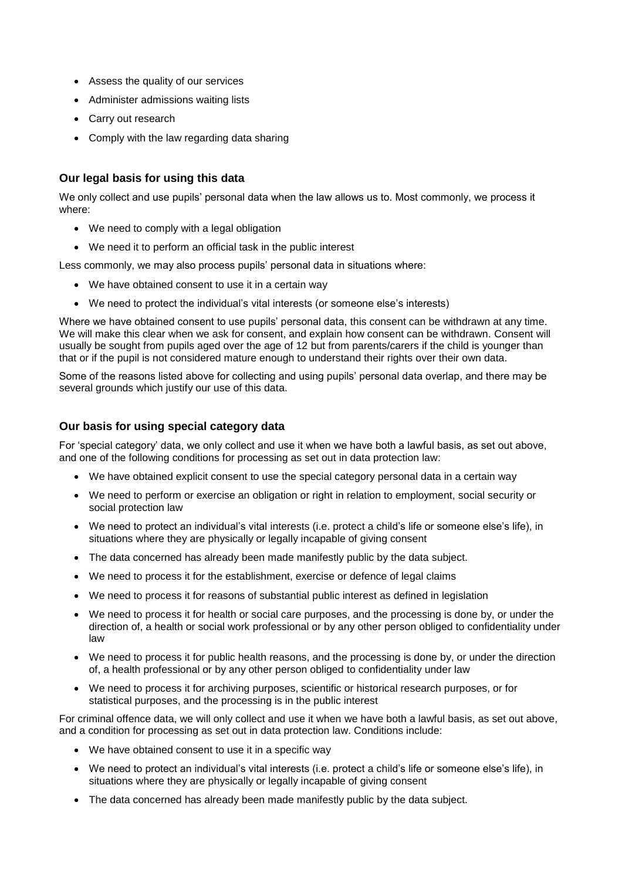- Assess the quality of our services
- Administer admissions waiting lists
- Carry out research
- Comply with the law regarding data sharing

#### **Our legal basis for using this data**

We only collect and use pupils' personal data when the law allows us to. Most commonly, we process it where:

- We need to comply with a legal obligation
- We need it to perform an official task in the public interest

Less commonly, we may also process pupils' personal data in situations where:

- We have obtained consent to use it in a certain way
- We need to protect the individual's vital interests (or someone else's interests)

Where we have obtained consent to use pupils' personal data, this consent can be withdrawn at any time. We will make this clear when we ask for consent, and explain how consent can be withdrawn. Consent will usually be sought from pupils aged over the age of 12 but from parents/carers if the child is younger than that or if the pupil is not considered mature enough to understand their rights over their own data.

Some of the reasons listed above for collecting and using pupils' personal data overlap, and there may be several grounds which justify our use of this data.

#### **Our basis for using special category data**

For 'special category' data, we only collect and use it when we have both a lawful basis, as set out above, and one of the following conditions for processing as set out in data protection law:

- We have obtained explicit consent to use the special category personal data in a certain way
- We need to perform or exercise an obligation or right in relation to employment, social security or social protection law
- We need to protect an individual's vital interests (i.e. protect a child's life or someone else's life), in situations where they are physically or legally incapable of giving consent
- The data concerned has already been made manifestly public by the data subject.
- We need to process it for the establishment, exercise or defence of legal claims
- We need to process it for reasons of substantial public interest as defined in legislation
- We need to process it for health or social care purposes, and the processing is done by, or under the direction of, a health or social work professional or by any other person obliged to confidentiality under law
- We need to process it for public health reasons, and the processing is done by, or under the direction of, a health professional or by any other person obliged to confidentiality under law
- We need to process it for archiving purposes, scientific or historical research purposes, or for statistical purposes, and the processing is in the public interest

For criminal offence data, we will only collect and use it when we have both a lawful basis, as set out above, and a condition for processing as set out in data protection law. Conditions include:

- We have obtained consent to use it in a specific way
- We need to protect an individual's vital interests (i.e. protect a child's life or someone else's life), in situations where they are physically or legally incapable of giving consent
- The data concerned has already been made manifestly public by the data subject.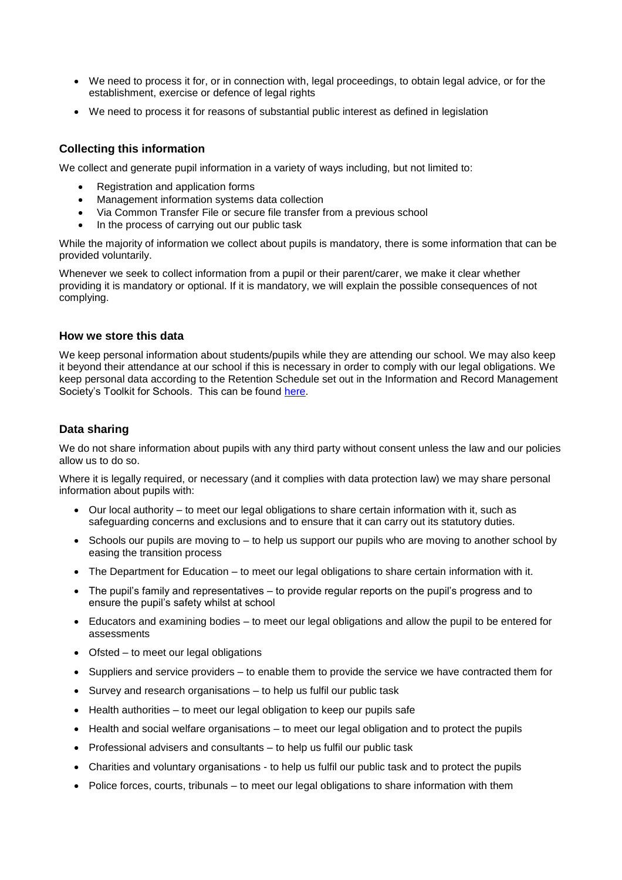- We need to process it for, or in connection with, legal proceedings, to obtain legal advice, or for the establishment, exercise or defence of legal rights
- We need to process it for reasons of substantial public interest as defined in legislation

# **Collecting this information**

We collect and generate pupil information in a variety of ways including, but not limited to:

- Registration and application forms
- Management information systems data collection
- Via Common Transfer File or secure file transfer from a previous school
- In the process of carrying out our public task

While the majority of information we collect about pupils is mandatory, there is some information that can be provided voluntarily.

Whenever we seek to collect information from a pupil or their parent/carer, we make it clear whether providing it is mandatory or optional. If it is mandatory, we will explain the possible consequences of not complying.

#### **How we store this data**

We keep personal information about students/pupils while they are attending our school. We may also keep it beyond their attendance at our school if this is necessary in order to comply with our legal obligations. We keep personal data according to the Retention Schedule set out in the Information and Record Management Society's Toolkit for Schools. This can be found [here.](http://irms.org.uk/?page=schoolstoolkit&terms=%22toolkit+and+schools%22)

#### **Data sharing**

We do not share information about pupils with any third party without consent unless the law and our policies allow us to do so.

Where it is legally required, or necessary (and it complies with data protection law) we may share personal information about pupils with:

- Our local authority to meet our legal obligations to share certain information with it, such as safeguarding concerns and exclusions and to ensure that it can carry out its statutory duties.
- Schools our pupils are moving to to help us support our pupils who are moving to another school by easing the transition process
- The Department for Education to meet our legal obligations to share certain information with it.
- The pupil's family and representatives to provide regular reports on the pupil's progress and to ensure the pupil's safety whilst at school
- Educators and examining bodies to meet our legal obligations and allow the pupil to be entered for assessments
- Ofsted to meet our legal obligations
- Suppliers and service providers to enable them to provide the service we have contracted them for
- Survey and research organisations to help us fulfil our public task
- Health authorities to meet our legal obligation to keep our pupils safe
- Health and social welfare organisations to meet our legal obligation and to protect the pupils
- Professional advisers and consultants to help us fulfil our public task
- Charities and voluntary organisations to help us fulfil our public task and to protect the pupils
- Police forces, courts, tribunals to meet our legal obligations to share information with them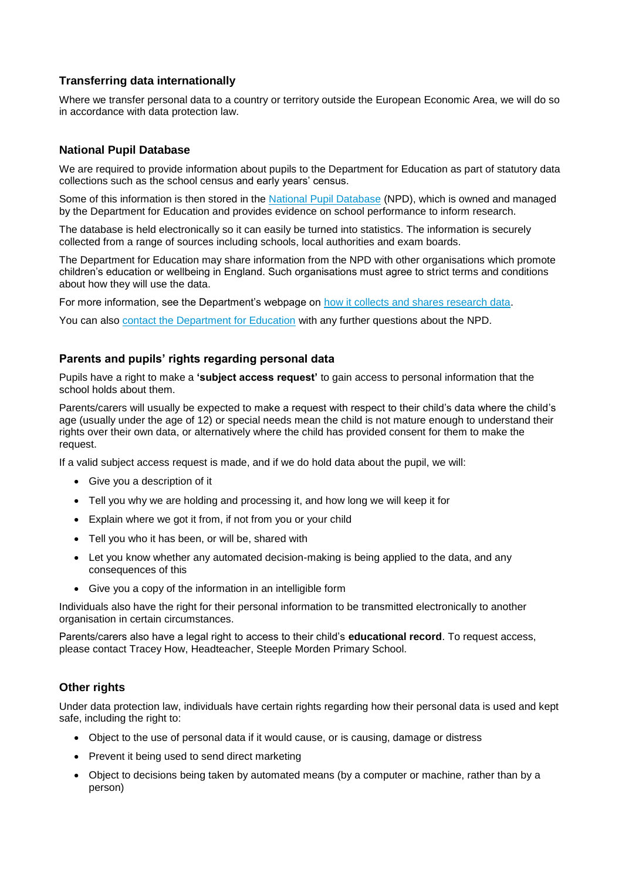# **Transferring data internationally**

Where we transfer personal data to a country or territory outside the European Economic Area, we will do so in accordance with data protection law.

### **National Pupil Database**

We are required to provide information about pupils to the Department for Education as part of statutory data collections such as the school census and early years' census.

Some of this information is then stored in the [National Pupil Database](https://www.gov.uk/government/publications/national-pupil-database-user-guide-and-supporting-information) (NPD), which is owned and managed by the Department for Education and provides evidence on school performance to inform research.

The database is held electronically so it can easily be turned into statistics. The information is securely collected from a range of sources including schools, local authorities and exam boards.

The Department for Education may share information from the NPD with other organisations which promote children's education or wellbeing in England. Such organisations must agree to strict terms and conditions about how they will use the data.

For more information, see the Department's webpage on [how it collects and shares research data.](https://www.gov.uk/data-protection-how-we-collect-and-share-research-data)

You can also [contact the Department for Education](https://www.gov.uk/contact-dfe) with any further questions about the NPD.

#### **Parents and pupils' rights regarding personal data**

Pupils have a right to make a **'subject access request'** to gain access to personal information that the school holds about them.

Parents/carers will usually be expected to make a request with respect to their child's data where the child's age (usually under the age of 12) or special needs mean the child is not mature enough to understand their rights over their own data, or alternatively where the child has provided consent for them to make the request.

If a valid subject access request is made, and if we do hold data about the pupil, we will:

- Give you a description of it
- Tell you why we are holding and processing it, and how long we will keep it for
- Explain where we got it from, if not from you or your child
- Tell you who it has been, or will be, shared with
- Let you know whether any automated decision-making is being applied to the data, and any consequences of this
- Give you a copy of the information in an intelligible form

Individuals also have the right for their personal information to be transmitted electronically to another organisation in certain circumstances.

Parents/carers also have a legal right to access to their child's **educational record**. To request access, please contact Tracey How, Headteacher, Steeple Morden Primary School.

#### **Other rights**

Under data protection law, individuals have certain rights regarding how their personal data is used and kept safe, including the right to:

- Object to the use of personal data if it would cause, or is causing, damage or distress
- Prevent it being used to send direct marketing
- Object to decisions being taken by automated means (by a computer or machine, rather than by a person)